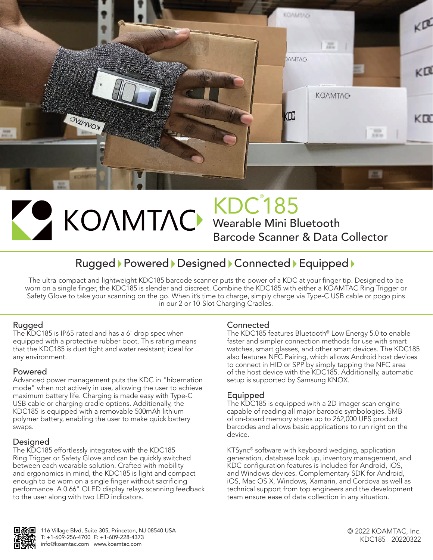

# KDC® 185

Wearable Mini Bluetooth Barcode Scanner & Data Collector

## Rugged Powered Designed Connected Equipped

The ultra-compact and lightweight KDC185 barcode scanner puts the power of a KDC at your finger tip. Designed to be worn on a single finger, the KDC185 is slender and discreet. Combine the KDC185 with either a KOAMTAC Ring Trigger or Safety Glove to take your scanning on the go. When it's time to charge, simply charge via Type-C USB cable or pogo pins in our 2 or 10-Slot Charging Cradles.

### Rugged

The KDC185 is IP65-rated and has a 6' drop spec when equipped with a protective rubber boot. This rating means that the KDC185 is dust tight and water resistant; ideal for any environment.

#### Powered

Advanced power management puts the KDC in "hibernation mode" when not actively in use, allowing the user to achieve maximum battery life. Charging is made easy with Type-C USB cable or charging cradle options. Additionally, the KDC185 is equipped with a removable 500mAh lithiumpolymer battery, enabling the user to make quick battery swaps.

### Designed

The KDC185 effortlessly integrates with the KDC185 Ring Trigger or Safety Glove and can be quickly switched between each wearable solution. Crafted with mobility and ergonomics in mind, the KDC185 is light and compact enough to be worn on a single finger without sacrificing performance. A 0.66" OLED display relays scanning feedback to the user along with two LED indicators.

#### Connected

The KDC185 features Bluetooth® Low Energy 5.0 to enable faster and simpler connection methods for use with smart watches, smart glasses, and other smart devices. The KDC185 also features NFC Pairing, which allows Android host devices to connect in HID or SPP by simply tapping the NFC area of the host device with the KDC185. Additionally, automatic setup is supported by Samsung KNOX.

### Equipped

The KDC185 is equipped with a 2D imager scan engine capable of reading all major barcode symbologies. 5MB of on-board memory stores up to 262,000 UPS product barcodes and allows basic applications to run right on the device.

KTSync® software with keyboard wedging, application generation, database look up, inventory management, and KDC configuration features is included for Android, iOS, and Windows devices. Complementary SDK for Android, iOS, Mac OS X, Windows, Xamarin, and Cordova as well as technical support from top engineers and the development team ensure ease of data collection in any situation.